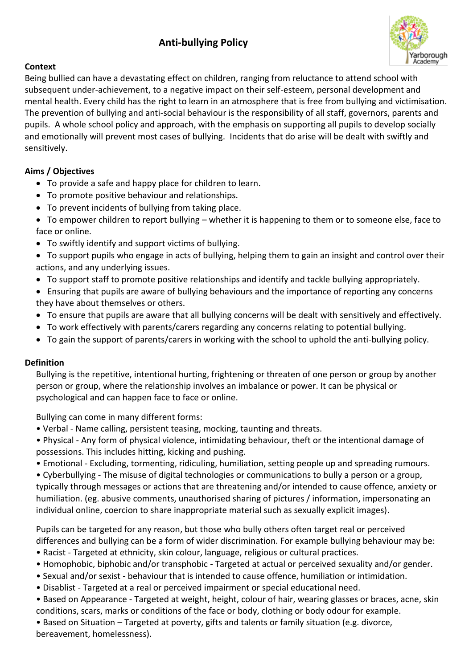# **Anti-bullying Policy**



## **Context**

Being bullied can have a devastating effect on children, ranging from reluctance to attend school with subsequent under-achievement, to a negative impact on their self-esteem, personal development and mental health. Every child has the right to learn in an atmosphere that is free from bullying and victimisation. The prevention of bullying and anti-social behaviour is the responsibility of all staff, governors, parents and pupils. A whole school policy and approach, with the emphasis on supporting all pupils to develop socially and emotionally will prevent most cases of bullying. Incidents that do arise will be dealt with swiftly and sensitively.

## **Aims / Objectives**

- To provide a safe and happy place for children to learn.
- To promote positive behaviour and relationships.
- To prevent incidents of bullying from taking place.

 To empower children to report bullying – whether it is happening to them or to someone else, face to face or online.

- To swiftly identify and support victims of bullying.
- To support pupils who engage in acts of bullying, helping them to gain an insight and control over their actions, and any underlying issues.
- To support staff to promote positive relationships and identify and tackle bullying appropriately.
- Ensuring that pupils are aware of bullying behaviours and the importance of reporting any concerns they have about themselves or others.
- To ensure that pupils are aware that all bullying concerns will be dealt with sensitively and effectively.
- To work effectively with parents/carers regarding any concerns relating to potential bullying.
- To gain the support of parents/carers in working with the school to uphold the anti-bullying policy.

### **Definition**

Bullying is the repetitive, intentional hurting, frightening or threaten of one person or group by another person or group, where the relationship involves an imbalance or power. It can be physical or psychological and can happen face to face or online.

Bullying can come in many different forms:

- Verbal Name calling, persistent teasing, mocking, taunting and threats.
- Physical Any form of physical violence, intimidating behaviour, theft or the intentional damage of possessions. This includes hitting, kicking and pushing.
- Emotional Excluding, tormenting, ridiculing, humiliation, setting people up and spreading rumours.

• Cyberbullying - The misuse of digital technologies or communications to bully a person or a group, typically through messages or actions that are threatening and/or intended to cause offence, anxiety or humiliation. (eg. abusive comments, unauthorised sharing of pictures / information, impersonating an individual online, coercion to share inappropriate material such as sexually explicit images).

Pupils can be targeted for any reason, but those who bully others often target real or perceived differences and bullying can be a form of wider discrimination. For example bullying behaviour may be:

- Racist Targeted at ethnicity, skin colour, language, religious or cultural practices.
- Homophobic, biphobic and/or transphobic Targeted at actual or perceived sexuality and/or gender.
- Sexual and/or sexist behaviour that is intended to cause offence, humiliation or intimidation.
- Disablist Targeted at a real or perceived impairment or special educational need.
- Based on Appearance Targeted at weight, height, colour of hair, wearing glasses or braces, acne, skin conditions, scars, marks or conditions of the face or body, clothing or body odour for example.
- Based on Situation Targeted at poverty, gifts and talents or family situation (e.g. divorce, bereavement, homelessness).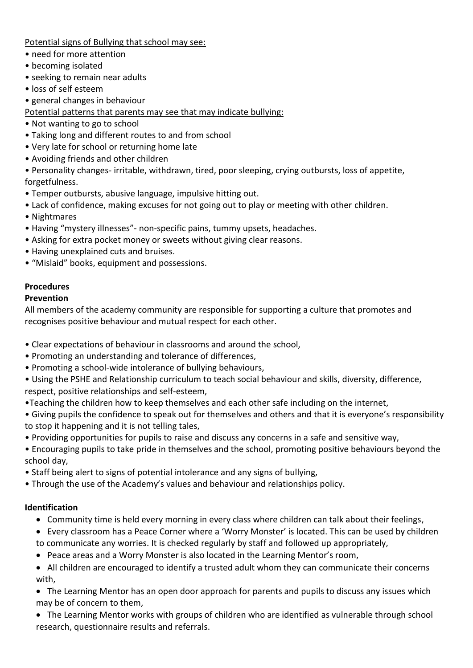Potential signs of Bullying that school may see:

- need for more attention
- becoming isolated
- seeking to remain near adults
- loss of self esteem
- general changes in behaviour

Potential patterns that parents may see that may indicate bullying:

- Not wanting to go to school
- Taking long and different routes to and from school
- Very late for school or returning home late
- Avoiding friends and other children

• Personality changes- irritable, withdrawn, tired, poor sleeping, crying outbursts, loss of appetite, forgetfulness.

- Temper outbursts, abusive language, impulsive hitting out.
- Lack of confidence, making excuses for not going out to play or meeting with other children.
- Nightmares
- Having "mystery illnesses"- non-specific pains, tummy upsets, headaches.
- Asking for extra pocket money or sweets without giving clear reasons.
- Having unexplained cuts and bruises.
- "Mislaid" books, equipment and possessions.

# **Procedures**

### **Prevention**

All members of the academy community are responsible for supporting a culture that promotes and recognises positive behaviour and mutual respect for each other.

- Clear expectations of behaviour in classrooms and around the school,
- Promoting an understanding and tolerance of differences,
- Promoting a school-wide intolerance of bullying behaviours,
- Using the PSHE and Relationship curriculum to teach social behaviour and skills, diversity, difference, respect, positive relationships and self-esteem,
- •Teaching the children how to keep themselves and each other safe including on the internet,

• Giving pupils the confidence to speak out for themselves and others and that it is everyone's responsibility to stop it happening and it is not telling tales,

- Providing opportunities for pupils to raise and discuss any concerns in a safe and sensitive way,
- Encouraging pupils to take pride in themselves and the school, promoting positive behaviours beyond the school day,
- Staff being alert to signs of potential intolerance and any signs of bullying,
- Through the use of the Academy's values and behaviour and relationships policy.

### **Identification**

- Community time is held every morning in every class where children can talk about their feelings,
- Every classroom has a Peace Corner where a 'Worry Monster' is located. This can be used by children to communicate any worries. It is checked regularly by staff and followed up appropriately,
- Peace areas and a Worry Monster is also located in the Learning Mentor's room,
- All children are encouraged to identify a trusted adult whom they can communicate their concerns with,
- The Learning Mentor has an open door approach for parents and pupils to discuss any issues which may be of concern to them,
- The Learning Mentor works with groups of children who are identified as vulnerable through school research, questionnaire results and referrals.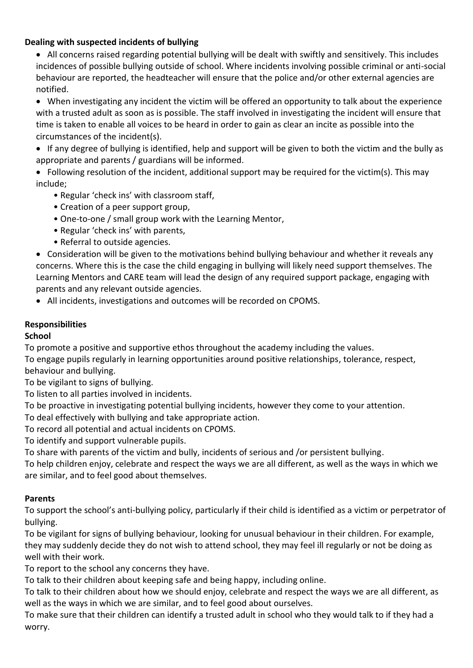## **Dealing with suspected incidents of bullying**

• All concerns raised regarding potential bullying will be dealt with swiftly and sensitively. This includes incidences of possible bullying outside of school. Where incidents involving possible criminal or anti-social behaviour are reported, the headteacher will ensure that the police and/or other external agencies are notified.

 When investigating any incident the victim will be offered an opportunity to talk about the experience with a trusted adult as soon as is possible. The staff involved in investigating the incident will ensure that time is taken to enable all voices to be heard in order to gain as clear an incite as possible into the circumstances of the incident(s).

 If any degree of bullying is identified, help and support will be given to both the victim and the bully as appropriate and parents / guardians will be informed.

 Following resolution of the incident, additional support may be required for the victim(s). This may include;

- Regular 'check ins' with classroom staff,
- Creation of a peer support group,
- One-to-one / small group work with the Learning Mentor,
- Regular 'check ins' with parents,
- Referral to outside agencies.

 Consideration will be given to the motivations behind bullying behaviour and whether it reveals any concerns. Where this is the case the child engaging in bullying will likely need support themselves. The Learning Mentors and CARE team will lead the design of any required support package, engaging with parents and any relevant outside agencies.

All incidents, investigations and outcomes will be recorded on CPOMS.

### **Responsibilities**

## **School**

To promote a positive and supportive ethos throughout the academy including the values.

To engage pupils regularly in learning opportunities around positive relationships, tolerance, respect, behaviour and bullying.

To be vigilant to signs of bullying.

To listen to all parties involved in incidents.

To be proactive in investigating potential bullying incidents, however they come to your attention.

To deal effectively with bullying and take appropriate action.

To record all potential and actual incidents on CPOMS.

To identify and support vulnerable pupils.

To share with parents of the victim and bully, incidents of serious and /or persistent bullying.

To help children enjoy, celebrate and respect the ways we are all different, as well as the ways in which we are similar, and to feel good about themselves.

## **Parents**

To support the school's anti-bullying policy, particularly if their child is identified as a victim or perpetrator of bullying.

To be vigilant for signs of bullying behaviour, looking for unusual behaviour in their children. For example, they may suddenly decide they do not wish to attend school, they may feel ill regularly or not be doing as well with their work.

To report to the school any concerns they have.

To talk to their children about keeping safe and being happy, including online.

To talk to their children about how we should enjoy, celebrate and respect the ways we are all different, as well as the ways in which we are similar, and to feel good about ourselves.

To make sure that their children can identify a trusted adult in school who they would talk to if they had a worry.